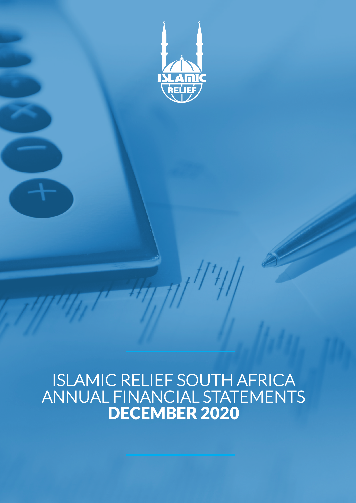

# ISLAMIC RELIEF SOUTH AFRICA ANNUAL FINANCIAL STATEMENTS DECEMBER 2020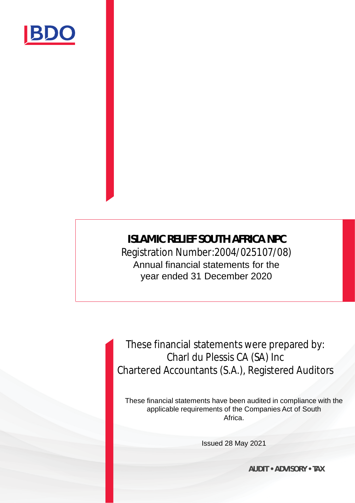

**ISLAMIC RELIEF SOUTH AFRICA NPC** Registration Number:2004/025107/08) Annual financial statements for the year ended 31 December 2020

These financial statements were prepared by: Charl du Plessis CA (SA) Inc Chartered Accountants (S.A.), Registered Auditors

These financial statements have been audited in compliance with the applicable requirements of the Companies Act of South Africa.

Issued 28 May 2021

**AUDIT • ADVISORY • TAX**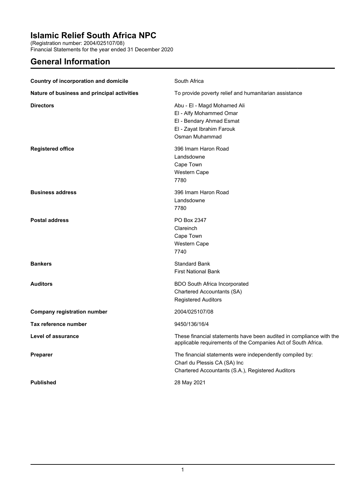(Registration number: 2004/025107/08)

Financial Statements for the year ended 31 December 2020

### **General Information**

| Country of incorporation and domicile       | South Africa                                                                                                                                  |
|---------------------------------------------|-----------------------------------------------------------------------------------------------------------------------------------------------|
| Nature of business and principal activities | To provide poverty relief and humanitarian assistance                                                                                         |
| <b>Directors</b>                            | Abu - El - Magd Mohamed Ali<br>El - Alfy Mohammed Omar<br>El - Bendary Ahmad Esmat<br>El - Zayat Ibrahim Farouk<br>Osman Muhammad             |
| <b>Registered office</b>                    | 396 Imam Haron Road<br>Landsdowne<br>Cape Town<br>Western Cape<br>7780                                                                        |
| <b>Business address</b>                     | 396 Imam Haron Road<br>Landsdowne<br>7780                                                                                                     |
| <b>Postal address</b>                       | PO Box 2347<br>Clareinch<br>Cape Town<br>Western Cape<br>7740                                                                                 |
| <b>Bankers</b>                              | Standard Bank<br><b>First National Bank</b>                                                                                                   |
| <b>Auditors</b>                             | <b>BDO South Africa Incorporated</b><br>Chartered Accountants (SA)<br><b>Registered Auditors</b>                                              |
| Company registration number                 | 2004/025107/08                                                                                                                                |
| Tax reference number                        | 9450/136/16/4                                                                                                                                 |
| <b>Level of assurance</b>                   | These financial statements have been audited in compliance with the<br>applicable requirements of the Companies Act of South Africa.          |
| <b>Preparer</b>                             | The financial statements were independently compiled by:<br>Charl du Plessis CA (SA) Inc<br>Chartered Accountants (S.A.), Registered Auditors |
| <b>Published</b>                            | 28 May 2021                                                                                                                                   |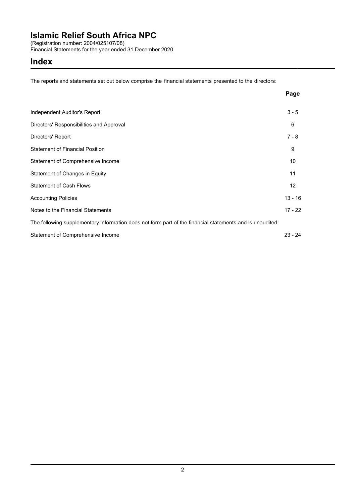(Registration number: 2004/025107/08)

Financial Statements for the year ended 31 December 2020

### **Index**

The reports and statements set out below comprise the financial statements presented to the directors:

|                                                                                                          | Page      |
|----------------------------------------------------------------------------------------------------------|-----------|
| Independent Auditor's Report                                                                             | $3 - 5$   |
| Directors' Responsibilities and Approval                                                                 | 6         |
| Directors' Report                                                                                        | $7 - 8$   |
| <b>Statement of Financial Position</b>                                                                   | 9         |
| Statement of Comprehensive Income                                                                        | 10        |
| Statement of Changes in Equity                                                                           | 11        |
| <b>Statement of Cash Flows</b>                                                                           | 12        |
| <b>Accounting Policies</b>                                                                               | $13 - 16$ |
| Notes to the Financial Statements                                                                        | $17 - 22$ |
| The following supplementary information does not form part of the financial statements and is unaudited: |           |
| Statement of Comprehensive Income                                                                        | $23 - 24$ |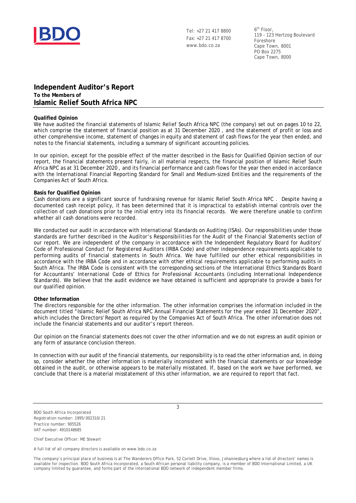

Tel: +27 21 417 8800 Fax: +27 21 417 8700 www.bdo.co.za

6th Floor, 119 – 123 Hertzog Boulevard Foreshore Cape Town, 8001 PO Box 2275 Cape Town, 8000

### **Independent Auditor's Report To the Members of Islamic Relief South Africa NPC**

#### **Qualified Opinion**

We have audited the financial statements of Islamic Relief South Africa NPC (the company) set out on pages 10 to 22, which comprise the statement of financial position as at 31 December 2020 , and the statement of profit or loss and other comprehensive income, statement of changes in equity and statement of cash flows for the year then ended, and notes to the financial statements, including a summary of significant accounting policies.

In our opinion, except for the possible effect of the matter described in the Basis for Qualified Opinion section of our report, the financial statements present fairly, in all material respects, the financial position of Islamic Relief South Africa NPC as at 31 December 2020 , and its financial performance and cash flows for the year then ended in accordance with the International Financial Reporting Standard for Small and Medium-sized Entities and the requirements of the Companies Act of South Africa.

#### **Basis for Qualified Opinion**

Cash donations are a significant source of fundraising revenue for Islamic Relief South Africa NPC . Despite having a documented cash receipt policy, it has been determined that it is impractical to establish internal controls over the collection of cash donations prior to the initial entry into its financial records. We were therefore unable to confirm whether all cash donations were recorded.

We conducted our audit in accordance with International Standards on Auditing (ISAs). Our responsibilities under those standards are further described in the *Auditor's Responsibilities for the Audit of the Financial Statements* section of our report. We are independent of the company in accordance with the Independent Regulatory Board for Auditors' *Code of Professional Conduct for Registered Auditors* (IRBA Code) and other independence requirements applicable to performing audits of financial statements in South Africa. We have fulfilled our other ethical responsibilities in accordance with the IRBA Code and in accordance with other ethical requirements applicable to performing audits in South Africa. The IRBA Code is consistent with the corresponding sections of the International Ethics Standards Board for Accountants' *International Code of Ethics for Professional Accountants (including International Independence Standards)*. We believe that the audit evidence we have obtained is sufficient and appropriate to provide a basis for our qualified opinion.

#### **Other Information**

The directors responsible for the other information. The other information comprises the information included in the document titled "Islamic Relief South Africa NPC Annual Financial Statements for the year ended 31 December 2020", which includes the Directors' Report as required by the Companies Act of South Africa. The other information does not include the financial statements and our auditor's report thereon.

Our opinion on the financial statements does not cover the other information and we do not express an audit opinion or any form of assurance conclusion thereon.

In connection with our audit of the financial statements, our responsibility is to read the other information and, in doing so, consider whether the other information is materially inconsistent with the financial statements or our knowledge obtained in the audit, or otherwise appears to be materially misstated. If, based on the work we have performed, we conclude that there is a material misstatement of this other information, we are required to report that fact.

3

BDO South Africa Incorporated Registration number: 1995/002310/21 Practice number: 905526 VAT number: 4910148685

Chief Executive Officer: ME Stewart

A full list of all company directors is available on www.bdo.co.za

The company's principal place of business is at The Wanderers Office Park, 52 Corlett Drive, Illovo, Johannesburg where a list of directors' names is available for inspection. BDO South Africa Incorporated, a South African personal liability company, is a member of BDO International Limited, a UK company limited by guarantee, and forms part of the international BDO network of independent member firms.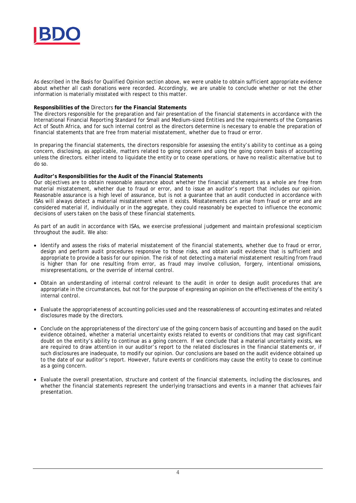

As described in the Basis for Qualified Opinion section above, we were unable to obtain sufficient appropriate evidence about whether all cash donations were recorded. Accordingly, we are unable to conclude whether or not the other information is materially misstated with respect to this matter.

#### **Responsibilities of the** Directors **for the Financial Statements**

The directors responsible for the preparation and fair presentation of the financial statements in accordance with the International Financial Reporting Standard for Small and Medium-sized Entities and the requirements of the Companies Act of South Africa, and for such internal control as the directors determine is necessary to enable the preparation of financial statements that are free from material misstatement, whether due to fraud or error.

In preparing the financial statements, the directors responsible for assessing the entity's ability to continue as a going concern, disclosing, as applicable, matters related to going concern and using the going concern basis of accounting unless the directors. either intend to liquidate the entity or to cease operations, or have no realistic alternative but to do so.

**Auditor's Responsibilities for the Audit of the Financial Statements**

Our objectives are to obtain reasonable assurance about whether the financial statements as a whole are free from material misstatement, whether due to fraud or error, and to issue an auditor's report that includes our opinion. Reasonable assurance is a high level of assurance, but is not a guarantee that an audit conducted in accordance with ISAs will always detect a material misstatement when it exists. Misstatements can arise from fraud or error and are considered material if, individually or in the aggregate, they could reasonably be expected to influence the economic decisions of users taken on the basis of these financial statements.

As part of an audit in accordance with ISAs, we exercise professional judgement and maintain professional scepticism throughout the audit. We also:

- · Identify and assess the risks of material misstatement of the financial statements, whether due to fraud or error, design and perform audit procedures responsive to those risks, and obtain audit evidence that is sufficient and appropriate to provide a basis for our opinion. The risk of not detecting a material misstatement resulting from fraud is higher than for one resulting from error, as fraud may involve collusion, forgery, intentional omissions, misrepresentations, or the override of internal control.
- · Obtain an understanding of internal control relevant to the audit in order to design audit procedures that are appropriate in the circumstances, but not for the purpose of expressing an opinion on the effectiveness of the entity's internal control.
- · Evaluate the appropriateness of accounting policies used and the reasonableness of accounting estimates and related disclosures made by the directors.
- · Conclude on the appropriateness of the directors' use of the going concern basis of accounting and based on the audit evidence obtained, whether a material uncertainty exists related to events or conditions that may cast significant doubt on the entity's ability to continue as a going concern. If we conclude that a material uncertainty exists, we are required to draw attention in our auditor's report to the related disclosures in the financial statements or, if such disclosures are inadequate, to modify our opinion. Our conclusions are based on the audit evidence obtained up to the date of our auditor's report. However, future events or conditions may cause the entity to cease to continue as a going concern.
- · Evaluate the overall presentation, structure and content of the financial statements, including the disclosures, and whether the financial statements represent the underlying transactions and events in a manner that achieves fair presentation.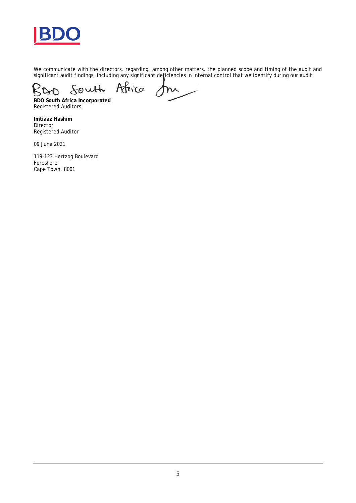

We communicate with the directors. regarding, among other matters, the planned scope and timing of the audit and significant audit findings, including any significant deficiencies in internal control that we identify during our audit.

South Africa  $\mathcal{R}% _{M_{1},M_{2}}^{\alpha}(\mathbf{0})\equiv\mathcal{R}_{M_{1},M_{2}}^{\alpha}(\mathbf{0})$  $\Delta O$ m

**BDO South Africa Incorporated** Registered Auditors

**Imtiaaz Hashim** Director Registered Auditor

09 June 2021

119-123 Hertzog Boulevard Foreshore Cape Town, 8001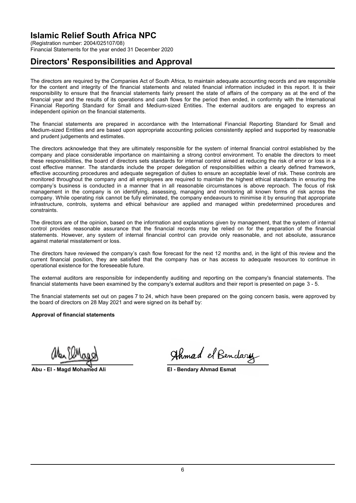(Registration number: 2004/025107/08) Financial Statements for the year ended 31 December 2020

### **Directors' Responsibilities and Approval**

The directors are required by the Companies Act of South Africa, to maintain adequate accounting records and are responsible for the content and integrity of the financial statements and related financial information included in this report. It is their responsibility to ensure that the financial statements fairly present the state of affairs of the company as at the end of the financial year and the results of its operations and cash flows for the period then ended, in conformity with the International Financial Reporting Standard for Small and Medium-sized Entities. The external auditors are engaged to express an independent opinion on the financial statements.

The financial statements are prepared in accordance with the International Financial Reporting Standard for Small and Medium-sized Entities and are based upon appropriate accounting policies consistently applied and supported by reasonable and prudent judgements and estimates.

The directors acknowledge that they are ultimately responsible for the system of internal financial control established by the company and place considerable importance on maintaining a strong control environment. To enable the directors to meet these responsibilities, the board of directors sets standards for internal control aimed at reducing the risk of error or loss in a cost effective manner. The standards include the proper delegation of responsibilities within a clearly defined framework, effective accounting procedures and adequate segregation of duties to ensure an acceptable level of risk. These controls are monitored throughout the company and all employees are required to maintain the highest ethical standards in ensuring the company's business is conducted in a manner that in all reasonable circumstances is above reproach. The focus of risk management in the company is on identifying, assessing, managing and monitoring all known forms of risk across the company. While operating risk cannot be fully eliminated, the company endeavours to minimise it by ensuring that appropriate infrastructure, controls, systems and ethical behaviour are applied and managed within predetermined procedures and constraints.

The directors are of the opinion, based on the information and explanations given by management, that the system of internal control provides reasonable assurance that the financial records may be relied on for the preparation of the financial statements. However, any system of internal financial control can provide only reasonable, and not absolute, assurance against material misstatement or loss.

The directors have reviewed the company's cash flow forecast for the next 12 months and, in the light of this review and the current financial position, they are satisfied that the company has or has access to adequate resources to continue in operational existence for the foreseeable future.

The external auditors are responsible for independently auditing and reporting on the company's financial statements. The financial statements have been examined by the company's external auditors and their report is presented on page 3 - 5.

The financial statements set out on pages 7 to 24, which have been prepared on the going concern basis, were approved by the board of directors on 28 May 2021 and were signed on its behalf by:

**Approval of financial statements**

**Abu - El - Magd Mohamed Ali El - Bendary Ahmad Esmat**

Ahmad el Bendary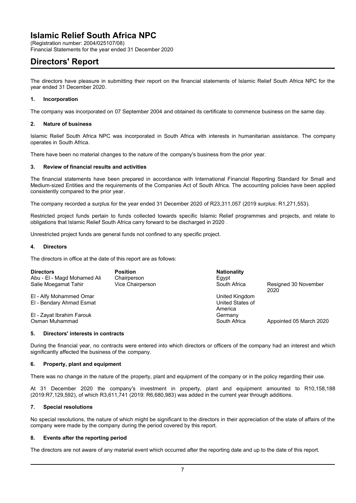(Registration number: 2004/025107/08)

Financial Statements for the year ended 31 December 2020

### **Directors' Report**

The directors have pleasure in submitting their report on the financial statements of Islamic Relief South Africa NPC for the year ended 31 December 2020.

#### **1. Incorporation**

The company was incorporated on 07 September 2004 and obtained its certificate to commence business on the same day.

#### **2. Nature of business**

Islamic Relief South Africa NPC was incorporated in South Africa with interests in humanitarian assistance. The company operates in South Africa.

There have been no material changes to the nature of the company's business from the prior year.

#### **3. Review of financial results and activities**

The financial statements have been prepared in accordance with International Financial Reporting Standard for Small and Medium-sized Entities and the requirements of the Companies Act of South Africa. The accounting policies have been applied consistently compared to the prior year.

The company recorded a surplus for the year ended 31 December 2020 of R23,311,057 (2019 surplus: R1,271,553).

Restricted project funds pertain to funds collected towards specific Islamic Relief programmes and projects, and relate to obligations that Islamic Relief South Africa carry forward to be discharged in 2020 .

Unrestricted project funds are general funds not confined to any specific project.

#### **4. Directors**

The directors in office at the date of this report are as follows:

| <b>Directors</b>            | <b>Position</b>  | <b>Nationality</b> |                         |
|-----------------------------|------------------|--------------------|-------------------------|
| Abu - El - Magd Mohamed Ali | Chairperson      | Eqypt              |                         |
| Salie Moegamat Tahir        | Vice Chairperson | South Africa       | Resigned 30 November    |
|                             |                  |                    | 2020                    |
| EI - Alfy Mohammed Omar     |                  | United Kingdom     |                         |
| EI - Bendary Ahmad Esmat    |                  | United States of   |                         |
|                             |                  | America            |                         |
| EI - Zayat Ibrahim Farouk   |                  | Germany            |                         |
| Osman Muhammad              |                  | South Africa       | Appointed 05 March 2020 |

#### **5. Directors' interests in contracts**

During the financial year, no contracts were entered into which directors or officers of the company had an interest and which significantly affected the business of the company.

#### **6. Property, plant and equipment**

There was no change in the nature of the property, plant and equipment of the company or in the policy regarding their use.

At 31 December 2020 the company's investment in property, plant and equipment amounted to R10,158,188 (2019:R7,129,592), of which R3,611,741 (2019: R6,680,983) was added in the current year through additions.

#### **7. Special resolutions**

No special resolutions, the nature of which might be significant to the directors in their appreciation of the state of affairs of the company were made by the company during the period covered by this report.

#### **8. Events after the reporting period**

The directors are not aware of any material event which occurred after the reporting date and up to the date of this report.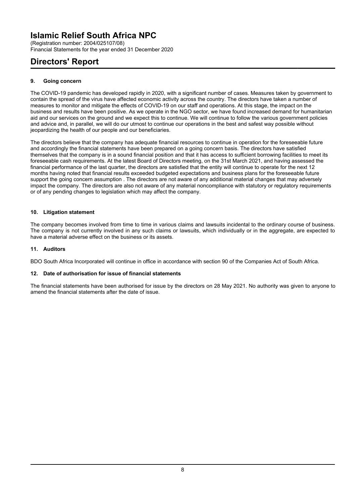(Registration number: 2004/025107/08) Financial Statements for the year ended 31 December 2020

### **Directors' Report**

### **9. Going concern**

The COVID-19 pandemic has developed rapidly in 2020, with a significant number of cases. Measures taken by government to contain the spread of the virus have affected economic activity across the country. The directors have taken a number of measures to monitor and mitigate the effects of COVID-19 on our staff and operations. At this stage, the impact on the business and results have been positive. As we operate in the NGO sector, we have found increased demand for humanitarian aid and our services on the ground and we expect this to continue. We will continue to follow the various government policies and advice and, in parallel, we will do our utmost to continue our operations in the best and safest way possible without jeopardizing the health of our people and our beneficiaries.

The directors believe that the company has adequate financial resources to continue in operation for the foreseeable future and accordingly the financial statements have been prepared on a going concern basis. The directors have satisfied themselves that the company is in a sound financial position and that it has access to sufficient borrowing facilities to meet its foreseeable cash requirements. At the latest Board of Directors meeting, on the 31st March 2021, and having assessed the financial performance of the last quarter, the directors are satisfied that the entity will continue to operate for the next 12 months having noted that financial results exceeded budgeted expectations and business plans for the foreseeable future support the going concern assumption . The directors are not aware of any additional material changes that may adversely impact the company. The directors are also not aware of any material noncompliance with statutory or regulatory requirements or of any pending changes to legislation which may affect the company.

### **10. Litigation statement**

The company becomes involved from time to time in various claims and lawsuits incidental to the ordinary course of business. The company is not currently involved in any such claims or lawsuits, which individually or in the aggregate, are expected to have a material adverse effect on the business or its assets.

### **11. Auditors**

BDO South Africa Incorporated will continue in office in accordance with section 90 of the Companies Act of South Africa.

### **12. Date of authorisation for issue of financial statements**

The financial statements have been authorised for issue by the directors on 28 May 2021. No authority was given to anyone to amend the financial statements after the date of issue.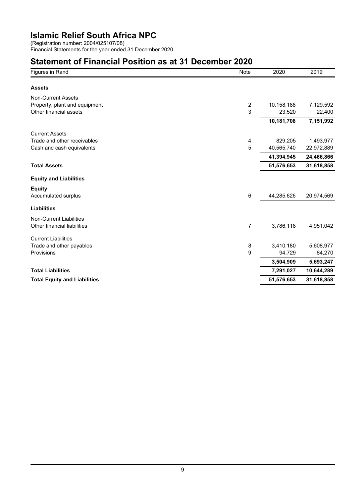(Registration number: 2004/025107/08) Financial Statements for the year ended 31 December 2020

### **Statement of Financial Position as at 31 December 2020**

| Figures in Rand                     | Note           | 2020       | 2019       |
|-------------------------------------|----------------|------------|------------|
| <b>Assets</b>                       |                |            |            |
| <b>Non-Current Assets</b>           |                |            |            |
| Property, plant and equipment       | $\overline{c}$ | 10,158,188 | 7,129,592  |
| Other financial assets              | 3              | 23,520     | 22,400     |
|                                     |                | 10,181,708 | 7,151,992  |
| <b>Current Assets</b>               |                |            |            |
| Trade and other receivables         | 4              | 829,205    | 1,493,977  |
| Cash and cash equivalents           | 5              | 40,565,740 | 22,972,889 |
|                                     |                | 41,394,945 | 24,466,866 |
| <b>Total Assets</b>                 |                | 51,576,653 | 31,618,858 |
| <b>Equity and Liabilities</b>       |                |            |            |
| <b>Equity</b>                       |                |            |            |
| Accumulated surplus                 | 6              | 44,285,626 | 20,974,569 |
| <b>Liabilities</b>                  |                |            |            |
| <b>Non-Current Liabilities</b>      |                |            |            |
| Other financial liabilities         | 7              | 3,786,118  | 4,951,042  |
| <b>Current Liabilities</b>          |                |            |            |
| Trade and other payables            | 8              | 3,410,180  | 5,608,977  |
| Provisions                          | 9              | 94,729     | 84,270     |
|                                     |                | 3,504,909  | 5,693,247  |
| <b>Total Liabilities</b>            |                | 7,291,027  | 10,644,289 |
| <b>Total Equity and Liabilities</b> |                | 51,576,653 | 31,618,858 |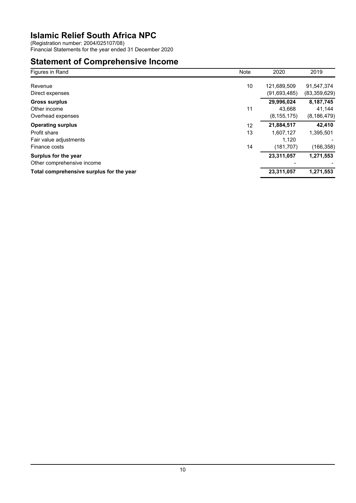(Registration number: 2004/025107/08)

Financial Statements for the year ended 31 December 2020

### **Statement of Comprehensive Income**

| Figures in Rand                          | Note | 2020           | 2019           |
|------------------------------------------|------|----------------|----------------|
| Revenue                                  | 10   | 121,689,509    | 91,547,374     |
| Direct expenses                          |      | (91, 693, 485) | (83, 359, 629) |
| <b>Gross surplus</b>                     |      | 29,996,024     | 8,187,745      |
| Other income                             | 11   | 43.668         | 41,144         |
| Overhead expenses                        |      | (8, 155, 175)  | (8, 186, 479)  |
| <b>Operating surplus</b>                 | 12   | 21,884,517     | 42,410         |
| Profit share                             | 13   | 1.607.127      | 1,395,501      |
| Fair value adjustments                   |      | 1,120          |                |
| Finance costs                            | 14   | (181, 707)     | (166, 358)     |
| Surplus for the year                     |      | 23,311,057     | 1,271,553      |
| Other comprehensive income               |      |                |                |
| Total comprehensive surplus for the year |      | 23,311,057     | 1.271.553      |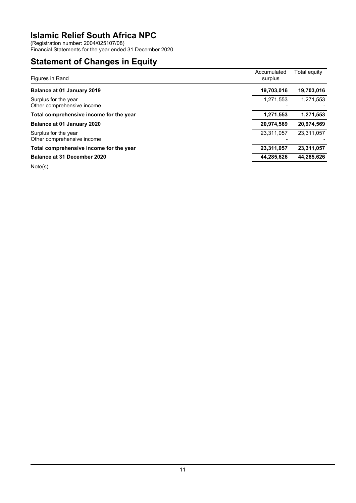(Registration number: 2004/025107/08)

Financial Statements for the year ended 31 December 2020

### **Statement of Changes in Equity**

| Figures in Rand                                    | Accumulated<br>surplus | Total equity |
|----------------------------------------------------|------------------------|--------------|
| Balance at 01 January 2019                         | 19,703,016             | 19,703,016   |
| Surplus for the year<br>Other comprehensive income | 1,271,553              | 1,271,553    |
| Total comprehensive income for the year            | 1,271,553              | 1,271,553    |
| Balance at 01 January 2020                         | 20,974,569             | 20,974,569   |
| Surplus for the year<br>Other comprehensive income | 23,311,057             | 23.311.057   |
| Total comprehensive income for the year            | 23,311,057             | 23,311,057   |
| <b>Balance at 31 December 2020</b>                 | 44,285,626             | 44,285,626   |
| .                                                  |                        |              |

Note(s)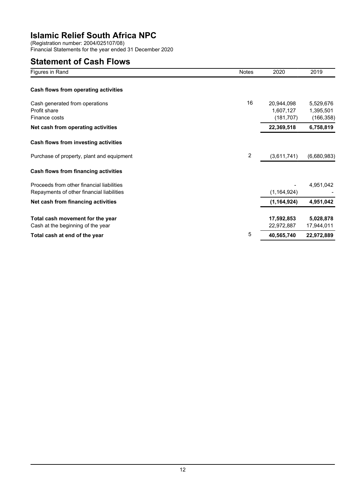(Registration number: 2004/025107/08) Financial Statements for the year ended 31 December 2020

### **Statement of Cash Flows**

| Figures in Rand                                                                        | <b>Notes</b> | 2020                                  | 2019                                 |
|----------------------------------------------------------------------------------------|--------------|---------------------------------------|--------------------------------------|
| Cash flows from operating activities                                                   |              |                                       |                                      |
| Cash generated from operations<br>Profit share<br>Finance costs                        | 16           | 20,944,098<br>1,607,127<br>(181, 707) | 5,529,676<br>1,395,501<br>(166, 358) |
| Net cash from operating activities                                                     |              | 22,369,518                            | 6,758,819                            |
| Cash flows from investing activities                                                   |              |                                       |                                      |
| Purchase of property, plant and equipment                                              | 2            | (3,611,741)                           | (6,680,983)                          |
| Cash flows from financing activities                                                   |              |                                       |                                      |
| Proceeds from other financial liabilities<br>Repayments of other financial liabilities |              | (1, 164, 924)                         | 4,951,042                            |
| Net cash from financing activities                                                     |              | (1, 164, 924)                         | 4,951,042                            |
| Total cash movement for the year<br>Cash at the beginning of the year                  |              | 17,592,853<br>22,972,887              | 5,028,878<br>17,944,011              |
| Total cash at end of the year                                                          | 5            | 40,565,740                            | 22,972,889                           |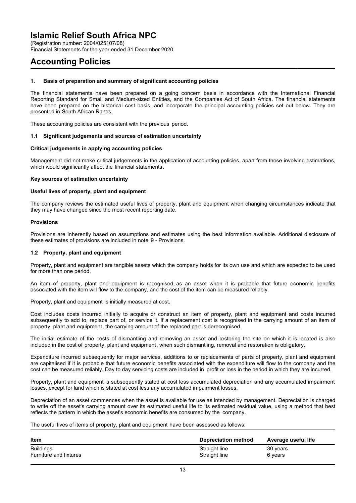(Registration number: 2004/025107/08)

Financial Statements for the year ended 31 December 2020

### **Accounting Policies**

#### **1. Basis of preparation and summary of significant accounting policies**

The financial statements have been prepared on a going concern basis in accordance with the International Financial Reporting Standard for Small and Medium-sized Entities, and the Companies Act of South Africa. The financial statements have been prepared on the historical cost basis, and incorporate the principal accounting policies set out below. They are presented in South African Rands.

These accounting policies are consistent with the previous period.

#### **1.1 Significant judgements and sources of estimation uncertainty**

#### **Critical judgements in applying accounting policies**

Management did not make critical judgements in the application of accounting policies, apart from those involving estimations, which would significantly affect the financial statements.

#### **Key sources of estimation uncertainty**

#### **Useful lives of property, plant and equipment**

The company reviews the estimated useful lives of property, plant and equipment when changing circumstances indicate that they may have changed since the most recent reporting date.

#### **Provisions**

Provisions are inherently based on assumptions and estimates using the best information available. Additional disclosure of these estimates of provisions are included in note 9 - Provisions.

#### **1.2 Property, plant and equipment**

Property, plant and equipment are tangible assets which the company holds for its own use and which are expected to be used for more than one period.

An item of property, plant and equipment is recognised as an asset when it is probable that future economic benefits associated with the item will flow to the company, and the cost of the item can be measured reliably.

Property, plant and equipment is initially measured at cost.

Cost includes costs incurred initially to acquire or construct an item of property, plant and equipment and costs incurred subsequently to add to, replace part of, or service it. If a replacement cost is recognised in the carrying amount of an item of property, plant and equipment, the carrying amount of the replaced part is derecognised.

The initial estimate of the costs of dismantling and removing an asset and restoring the site on which it is located is also included in the cost of property, plant and equipment, when such dismantling, removal and restoration is obligatory.

Expenditure incurred subsequently for major services, additions to or replacements of parts of property, plant and equipment are capitalised if it is probable that future economic benefits associated with the expenditure will flow to the company and the cost can be measured reliably. Day to day servicing costs are included in profit or loss in the period in which they are incurred.

Property, plant and equipment is subsequently stated at cost less accumulated depreciation and any accumulated impairment losses, except for land which is stated at cost less any accumulated impairment losses.

Depreciation of an asset commences when the asset is available for use as intended by management. Depreciation is charged to write off the asset's carrying amount over its estimated useful life to its estimated residual value, using a method that best reflects the pattern in which the asset's economic benefits are consumed by the company.

The useful lives of items of property, plant and equipment have been assessed as follows:

| <b>Item</b>            | Depreciation method | Average useful life |
|------------------------|---------------------|---------------------|
| <b>Buildings</b>       | Straight line       | 30 years            |
| Furniture and fixtures | Straight line       | 6 years             |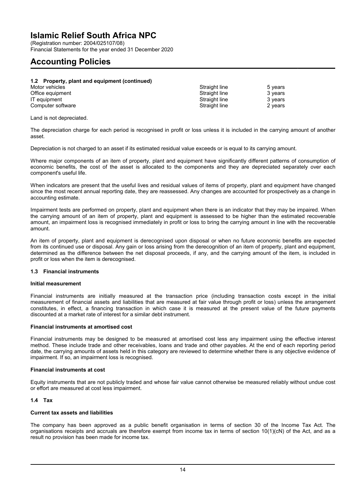(Registration number: 2004/025107/08) Financial Statements for the year ended 31 December 2020

### **Accounting Policies**

#### **1.2 Property, plant and equipment (continued)** Motor vehicles **Straight line** 5 years **Straight line** 5 years Office equipment 3 years and the Straight line 3 years of Straight line 3 years 3 years 3 years 3 years 3 years 3 years 3 years 3 years 3 years 3 years 3 years 3 years 3 years 3 years 3 years 3 years 3 years 3 years 3 year IT equipment 3 years<br>
Computer software Computer Straight line 3 years<br>
2 years Computer software

Land is not depreciated.

The depreciation charge for each period is recognised in profit or loss unless it is included in the carrying amount of another asset.

Depreciation is not charged to an asset if its estimated residual value exceeds or is equal to its carrying amount.

Where major components of an item of property, plant and equipment have significantly different patterns of consumption of economic benefits, the cost of the asset is allocated to the components and they are depreciated separately over each component's useful life.

When indicators are present that the useful lives and residual values of items of property, plant and equipment have changed since the most recent annual reporting date, they are reassessed. Any changes are accounted for prospectively as a change in accounting estimate.

Impairment tests are performed on property, plant and equipment when there is an indicator that they may be impaired. When the carrying amount of an item of property, plant and equipment is assessed to be higher than the estimated recoverable amount, an impairment loss is recognised immediately in profit or loss to bring the carrying amount in line with the recoverable amount.

An item of property, plant and equipment is derecognised upon disposal or when no future economic benefits are expected from its continued use or disposal. Any gain or loss arising from the derecognition of an item of property, plant and equipment, determined as the difference between the net disposal proceeds, if any, and the carrying amount of the item, is included in profit or loss when the item is derecognised.

#### **1.3 Financial instruments**

#### **Initial measurement**

Financial instruments are initially measured at the transaction price (including transaction costs except in the initial measurement of financial assets and liabilities that are measured at fair value through profit or loss) unless the arrangement constitutes, in effect, a financing transaction in which case it is measured at the present value of the future payments discounted at a market rate of interest for a similar debt instrument.

#### **Financial instruments at amortised cost**

Financial instruments may be designed to be measured at amortised cost less any impairment using the effective interest method. These include trade and other receivables, loans and trade and other payables. At the end of each reporting period date, the carrying amounts of assets held in this category are reviewed to determine whether there is any objective evidence of impairment. If so, an impairment loss is recognised.

#### **Financial instruments at cost**

Equity instruments that are not publicly traded and whose fair value cannot otherwise be measured reliably without undue cost or effort are measured at cost less impairment.

#### **1.4 Tax**

### **Current tax assets and liabilities**

The company has been approved as a public benefit organisation in terms of section 30 of the Income Tax Act. The organisations receipts and accruals are therefore exempt from income tax in terms of section 10(1)(cN) of the Act, and as a result no provision has been made for income tax.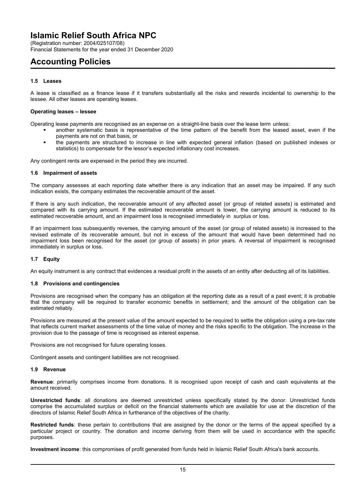(Registration number: 2004/025107/08) Financial Statements for the year ended 31 December 2020

### **Accounting Policies**

### **1.5 Leases**

A lease is classified as a finance lease if it transfers substantially all the risks and rewards incidental to ownership to the lessee. All other leases are operating leases.

#### **Operating leases – lessee**

Operating lease payments are recognised as an expense on a straight-line basis over the lease term unless:

- another systematic basis is representative of the time pattern of the benefit from the leased asset, even if the payments are not on that basis, or
- the payments are structured to increase in line with expected general inflation (based on published indexes or statistics) to compensate for the lessor's expected inflationary cost increases.

Any contingent rents are expensed in the period they are incurred.

#### **1.6 Impairment of assets**

The company assesses at each reporting date whether there is any indication that an asset may be impaired. If any such indication exists, the company estimates the recoverable amount of the asset.

If there is any such indication, the recoverable amount of any affected asset (or group of related assets) is estimated and compared with its carrying amount. If the estimated recoverable amount is lower, the carrying amount is reduced to its estimated recoverable amount, and an impairment loss is recognised immediately in surplus or loss.

If an impairment loss subsequently reverses, the carrying amount of the asset (or group of related assets) is increased to the revised estimate of its recoverable amount, but not in excess of the amount that would have been determined had no impairment loss been recognised for the asset (or group of assets) in prior years. A reversal of impairment is recognised immediately in surplus or loss.

#### **1.7 Equity**

An equity instrument is any contract that evidences a residual profit in the assets of an entity after deducting all of its liabilities.

#### **1.8 Provisions and contingencies**

Provisions are recognised when the company has an obligation at the reporting date as a result of a past event; it is probable that the company will be required to transfer economic benefits in settlement; and the amount of the obligation can be estimated reliably.

Provisions are measured at the present value of the amount expected to be required to settle the obligation using a pre-tax rate that reflects current market assessments of the time value of money and the risks specific to the obligation. The increase in the provision due to the passage of time is recognised as interest expense.

Provisions are not recognised for future operating losses.

Contingent assets and contingent liabilities are not recognised.

#### **1.9 Revenue**

**Revenue**: primarily comprises income from donations. It is recognised upon receipt of cash and cash equivalents at the amount received.

**Unrestricted funds**: all donations are deemed unrestricted unless specifically stated by the donor. Unrestricted funds comprise the accumulated surplus or deficit on the financial statements which are available for use at the discretion of the directors of Islamic Relief South Africa in furtherance of the objectives of the charity.

**Restricted funds**: these pertain to contributions that are assigned by the donor or the terms of the appeal specified by a particular project or country. The donation and income deriving from them will be used in accordance with the specific purposes.

**Investment income**: this compromises of profit generated from funds held in Islamic Relief South Africa's bank accounts.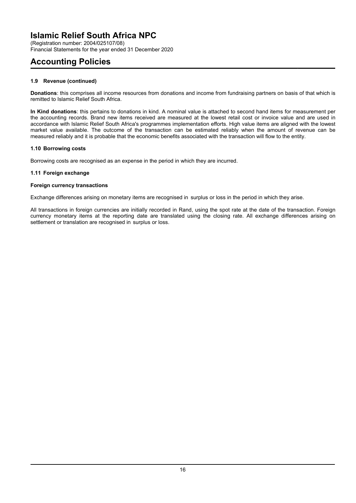(Registration number: 2004/025107/08) Financial Statements for the year ended 31 December 2020

### **Accounting Policies**

### **1.9 Revenue (continued)**

**Donations**: this comprises all income resources from donations and income from fundraising partners on basis of that which is remitted to Islamic Relief South Africa.

**In Kind donations**: this pertains to donations in kind. A nominal value is attached to second hand items for measurement per the accounting records. Brand new items received are measured at the lowest retail cost or invoice value and are used in accordance with Islamic Relief South Africa's programmes implementation efforts. High value items are aligned with the lowest market value available. The outcome of the transaction can be estimated reliably when the amount of revenue can be measured reliably and it is probable that the economic benefits associated with the transaction will flow to the entity.

### **1.10 Borrowing costs**

Borrowing costs are recognised as an expense in the period in which they are incurred.

### **1.11 Foreign exchange**

### **Foreign currency transactions**

Exchange differences arising on monetary items are recognised in surplus or loss in the period in which they arise.

All transactions in foreign currencies are initially recorded in Rand, using the spot rate at the date of the transaction. Foreign currency monetary items at the reporting date are translated using the closing rate. All exchange differences arising on settlement or translation are recognised in surplus or loss.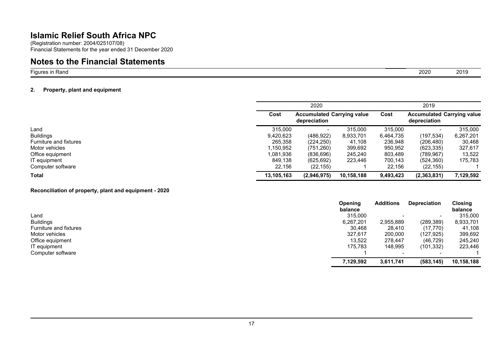(Registration number: 2004/025107/08) Financial Statements for the year ended 31 December 2020

### **Notes to the Financial Statements**

Figures in Rand

#### **2. Property, plant and equipment**

|                        | 2020                                                      |             |            | 2019<br>Cost<br><b>Accumulated Carrying value</b><br>depreciation |               |           |
|------------------------|-----------------------------------------------------------|-------------|------------|-------------------------------------------------------------------|---------------|-----------|
|                        | Cost<br><b>Accumulated Carrying value</b><br>depreciation |             |            |                                                                   |               |           |
| Land                   | 315,000                                                   |             | 315,000    | 315,000                                                           |               | 315,000   |
| <b>Buildings</b>       | 9,420,623                                                 | (486, 922)  | 8,933,701  | 6,464,735                                                         | (197, 534)    | 6,267,201 |
| Furniture and fixtures | 265,358                                                   | (224, 250)  | 41.108     | 236,948                                                           | (206, 480)    | 30,468    |
| Motor vehicles         | .150,952                                                  | (751, 260)  | 399,692    | 950,952                                                           | (623, 335)    | 327,617   |
| Office equipment       | 1.081.936                                                 | (836, 696)  | 245,240    | 803,489                                                           | (789, 967)    | 13,522    |
| IT equipment           | 849,138                                                   | (625, 692)  | 223,446    | 700,143                                                           | (524, 360)    | 175,783   |
| Computer software      | 22,156                                                    | (22, 155)   |            | 22.156                                                            | (22, 155)     |           |
| <b>Total</b>           | 13.105.163                                                | (2,946,975) | 10,158,188 | 9,493,423                                                         | (2, 363, 831) | 7,129,592 |

#### **Reconciliation of property, plant and equipment - 2020**

|                        | Opening   | <b>Additions</b>         | <b>Depreciation</b> | Closing    |
|------------------------|-----------|--------------------------|---------------------|------------|
|                        | balance   |                          |                     | balance    |
| Land                   | 315,000   |                          | $\,$                | 315,000    |
| <b>Buildings</b>       | 6,267,201 | 2,955,889                | (289, 389)          | 8,933,701  |
| Furniture and fixtures | 30,468    | 28.410                   | (17, 770)           | 41,108     |
| Motor vehicles         | 327,617   | 200,000                  | (127, 925)          | 399,692    |
| Office equipment       | 13,522    | 278.447                  | (46, 729)           | 245,240    |
| IT equipment           | 175,783   | 148,995                  | (101, 332)          | 223,446    |
| Computer software      |           | $\overline{\phantom{0}}$ |                     |            |
|                        | 7,129,592 | 3,611,741                | (583, 145)          | 10,158,188 |

d 2020 2019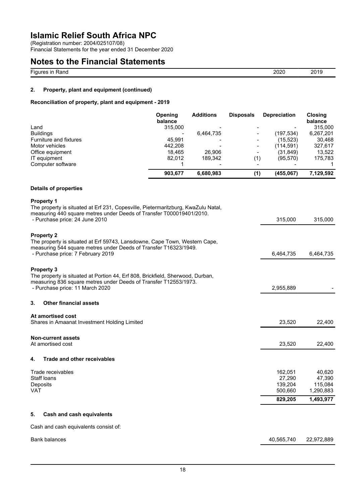(Registration number: 2004/025107/08)

Financial Statements for the year ended 31 December 2020

| <b>Notes to the Financial Statements</b> |      |      |
|------------------------------------------|------|------|
| Figures in Rand                          | 2020 | 2019 |

### **2. Property, plant and equipment (continued)**

### **Reconciliation of property, plant and equipment - 2019**

| Land                   | <b>Opening</b><br>balance<br>315,000 | <b>Additions</b> | <b>Disposals</b>         | <b>Depreciation</b> | <b>Closing</b><br>balance<br>315,000 |
|------------------------|--------------------------------------|------------------|--------------------------|---------------------|--------------------------------------|
| <b>Buildings</b>       | -                                    | 6.464.735        |                          | (197.534)           | 6,267,201                            |
| Furniture and fixtures | 45.991                               |                  | $\overline{\phantom{a}}$ | (15, 523)           | 30.468                               |
| Motor vehicles         | 442.208                              |                  |                          | (114,591)           | 327.617                              |
| Office equipment       | 18.465                               | 26,906           | $\overline{\phantom{0}}$ | (31, 849)           | 13,522                               |
| IT equipment           | 82.012                               | 189.342          | (1)                      | (95, 570)           | 175,783                              |
| Computer software      |                                      |                  |                          |                     |                                      |
|                        | 903.677                              | 6,680,983        | (1)                      | (455,067)           | 7,129,592                            |

### **Details of properties**

| <b>Property 1</b>                                                                 |                   |                   |
|-----------------------------------------------------------------------------------|-------------------|-------------------|
| The property is situated at Erf 231, Copesville, Pietermaritzburg, KwaZulu Natal, |                   |                   |
| measuring 440 square metres under Deeds of Transfer T000019401/2010.              |                   |                   |
| - Purchase price: 24 June 2010                                                    | 315,000           | 315,000           |
| <b>Property 2</b>                                                                 |                   |                   |
| The property is situated at Erf 59743, Lansdowne, Cape Town, Western Cape,        |                   |                   |
| measuring 544 square metres under Deeds of Transfer T16323/1949.                  |                   |                   |
| - Purchase price: 7 February 2019                                                 | 6,464,735         | 6,464,735         |
| <b>Property 3</b>                                                                 |                   |                   |
| The property is situated at Portion 44, Erf 808, Brickfield, Sherwood, Durban,    |                   |                   |
| measuring 836 square metres under Deeds of Transfer T12553/1973.                  |                   |                   |
| - Purchase price: 11 March 2020                                                   | 2,955,889         |                   |
| 3.<br><b>Other financial assets</b>                                               |                   |                   |
| At amortised cost                                                                 |                   |                   |
| Shares in Amaanat Investment Holding Limited                                      | 23,520            | 22,400            |
| <b>Non-current assets</b>                                                         |                   |                   |
| At amortised cost                                                                 | 23,520            | 22,400            |
| Trade and other receivables<br>4.                                                 |                   |                   |
|                                                                                   |                   |                   |
| Trade receivables<br>Staff loans                                                  | 162,051           | 40.620            |
| Deposits                                                                          | 27,290<br>139,204 | 47,390<br>115,084 |
| <b>VAT</b>                                                                        | 500,660           | 1,290,883         |
|                                                                                   |                   |                   |
|                                                                                   | 829,205           | 1,493,977         |
| <b>Cash and cash equivalents</b><br>5.                                            |                   |                   |
| Cash and cash equivalents consist of:                                             |                   |                   |
| <b>Bank balances</b>                                                              | 40,565,740        | 22,972,889        |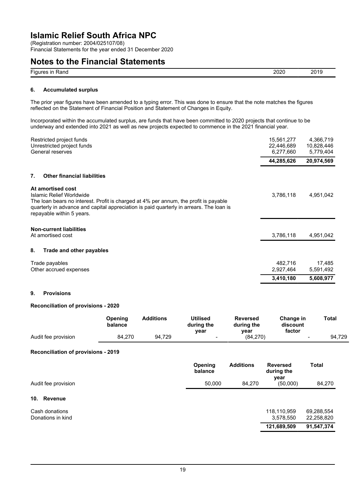(Registration number: 2004/025107/08)

Financial Statements for the year ended 31 December 2020

### **Notes to the Financial Statements**

| --<br>วกวก<br>$\sim$<br>Fiaur<br>≺and<br><b>ALC: Y</b><br>∠∪∠∪<br>ш<br>. . |  |  |
|----------------------------------------------------------------------------|--|--|
|                                                                            |  |  |

#### **6. Accumulated surplus**

The prior year figures have been amended to a typing error. This was done to ensure that the note matches the figures reflected on the Statement of Financial Position and Statement of Changes in Equity.

Incorporated within the accumulated surplus, are funds that have been committed to 2020 projects that continue to be underway and extended into 2021 as well as new projects expected to commence in the 2021 financial year.

| Restricted project funds<br>Unrestricted project funds<br>General reserves                                                                                                                                                                                    | 15,561,277<br>22,446,689<br>6,277,660 | 4,366,719<br>10,828,446<br>5,779,404 |
|---------------------------------------------------------------------------------------------------------------------------------------------------------------------------------------------------------------------------------------------------------------|---------------------------------------|--------------------------------------|
|                                                                                                                                                                                                                                                               | 44,285,626                            | 20,974,569                           |
| 7.<br><b>Other financial liabilities</b>                                                                                                                                                                                                                      |                                       |                                      |
| At amortised cost<br>Islamic Relief Worldwide<br>The loan bears no interest. Profit is charged at 4% per annum, the profit is payable<br>quarterly in advance and capital appreciation is paid quarterly in arrears. The loan is<br>repayable within 5 years. | 3,786,118                             | 4,951,042                            |
| <b>Non-current liabilities</b><br>At amortised cost                                                                                                                                                                                                           | 3,786,118                             | 4,951,042                            |
| 8.<br>Trade and other payables                                                                                                                                                                                                                                |                                       |                                      |
| Trade payables<br>Other accrued expenses                                                                                                                                                                                                                      | 482,716<br>2,927,464                  | 17,485<br>5,591,492                  |
|                                                                                                                                                                                                                                                               | 3,410,180                             | 5,608,977                            |

### **9. Provisions**

### **Reconciliation of provisions - 2020**

|                     | Opening<br>balance | Additions | <b>Utilised</b><br>during the<br>vear | <b>Reversed</b><br>during the<br>vear | Change in<br>discount<br>factor | Total  |
|---------------------|--------------------|-----------|---------------------------------------|---------------------------------------|---------------------------------|--------|
| Audit fee provision | 84.270             | 94.729    | $\overline{\phantom{0}}$              | (84.270)                              | $\overline{\phantom{a}}$        | 94.729 |

#### **Reconciliation of provisions - 2019**

|                                     | Opening<br>balance | <b>Additions</b> | <b>Reversed</b><br>during the<br>year | <b>Total</b>             |
|-------------------------------------|--------------------|------------------|---------------------------------------|--------------------------|
| Audit fee provision                 | 50.000             | 84.270           | (50,000)                              | 84,270                   |
| 10.<br><b>Revenue</b>               |                    |                  |                                       |                          |
| Cash donations<br>Donations in kind |                    |                  | 118,110,959<br>3,578,550              | 69,288,554<br>22,258,820 |
|                                     |                    |                  | 121,689,509                           | 91,547,374               |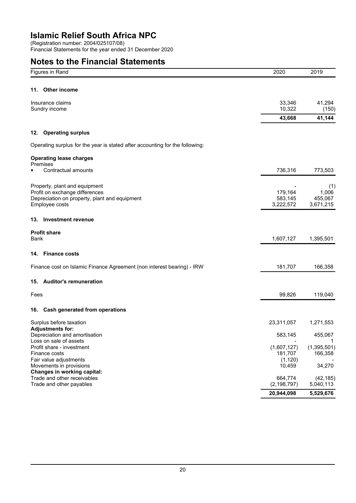(Registration number: 2004/025107/08)

Financial Statements for the year ended 31 December 2020

## **Notes to the Financial Statements**

| Figures in Rand                                                                                                                    |                                                                              | 2020                               | 2019                                 |
|------------------------------------------------------------------------------------------------------------------------------------|------------------------------------------------------------------------------|------------------------------------|--------------------------------------|
| <b>Other income</b><br>11.                                                                                                         |                                                                              |                                    |                                      |
| Insurance claims<br>Sundry income                                                                                                  |                                                                              | 33,346<br>10,322                   | 41,294                               |
|                                                                                                                                    |                                                                              | 43,668                             | (150)<br>41,144                      |
| <b>Operating surplus</b><br>12.                                                                                                    |                                                                              |                                    |                                      |
|                                                                                                                                    | Operating surplus for the year is stated after accounting for the following: |                                    |                                      |
| <b>Operating lease charges</b><br><b>Premises</b>                                                                                  |                                                                              |                                    |                                      |
| Contractual amounts                                                                                                                |                                                                              | 736,316                            | 773,503                              |
| Property, plant and equipment<br>Profit on exchange differences<br>Depreciation on property, plant and equipment<br>Employee costs |                                                                              | 179,164<br>583,145<br>3,222,572    | (1)<br>1,006<br>455,067<br>3,671,215 |
| 13. Investment revenue                                                                                                             |                                                                              |                                    |                                      |
| <b>Profit share</b><br>Bank                                                                                                        |                                                                              | 1,607,127                          | 1,395,501                            |
| 14. Finance costs                                                                                                                  |                                                                              |                                    |                                      |
|                                                                                                                                    | Finance cost on Islamic Finance Agreement (non interest bearing) - IRW       | 181,707                            | 166,358                              |
| 15. Auditor's remuneration                                                                                                         |                                                                              |                                    |                                      |
| Fees                                                                                                                               |                                                                              | 99,826                             | 119,040                              |
| 16. Cash generated from operations                                                                                                 |                                                                              |                                    |                                      |
| Surplus before taxation                                                                                                            |                                                                              | 23,311,057                         | 1,271,553                            |
| <b>Adjustments for:</b><br>Depreciation and amortisation<br>Loss on sale of assets                                                 |                                                                              | 583,145                            | 455,067                              |
| Profit share - investment<br>Finance costs<br>Fair value adjustments                                                               |                                                                              | (1,607,127)<br>181,707<br>(1, 120) | (1, 395, 501)<br>166,358             |
| Movements in provisions<br><b>Changes in working capital:</b>                                                                      |                                                                              | 10,459                             | 34,270                               |
| Trade and other receivables<br>Trade and other payables                                                                            |                                                                              | 664,774<br>(2, 198, 797)           | (42, 185)<br>5,040,113               |
|                                                                                                                                    |                                                                              | 20,944,098                         | 5,529,676                            |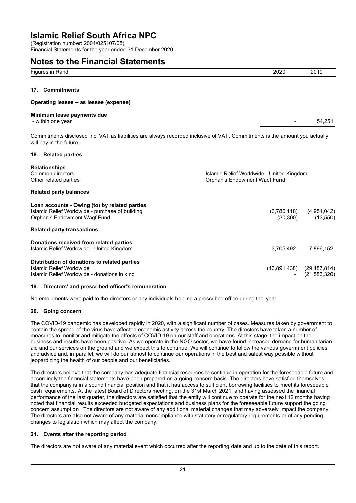(Registration number: 2004/025107/08) Financial Statements for the year ended 31 December 2020

### **Notes to the Financial Statements**

| <u>.</u><br>≺anc<br>.<br>. . | ____ | ۰.<br>.<br>_____ |
|------------------------------|------|------------------|
|                              |      |                  |

### **17. Commitments**

#### **Operating leases – as lessee (expense)**

#### **Minimum lease payments due**

- within one year 54,251

Commitments disclosed Incl VAT as liabilities are always recorded inclusive of VAT. Commitments is the amount you actually will pay in the future.

#### **18. Related parties**

| <b>Relationships</b>                                          |           |                               |
|---------------------------------------------------------------|-----------|-------------------------------|
| Common directors<br>Islamic Relief Worldwide - United Kingdom |           |                               |
| Other related parties<br>Orphan's Endowment Wagf Fund         |           |                               |
| <b>Related party balances</b>                                 |           |                               |
| Loan accounts - Owing (to) by related parties                 |           |                               |
| Islamic Relief Worldwide - purchase of building               |           | $(3,786,118)$ $(4,951,042)$   |
| <b>Orphan's Endowment Wagf Fund</b>                           | (30, 300) | (13,550)                      |
| <b>Related party transactions</b>                             |           |                               |
| Donations received from related parties                       |           |                               |
| Islamic Relief Worldwide - United Kingdom                     | 3,705,492 | 7.896.152                     |
| Distribution of donations to related parties                  |           |                               |
| Islamic Relief Worldwide                                      |           | $(43,891,438)$ $(29,187,814)$ |
| Islamic Relief Worldwide - donations in kind                  |           | $-$ (21,583,320)              |

#### **19. Directors' and prescribed officer's remuneration**

No emoluments were paid to the directors or any individuals holding a prescribed office during the year.

#### **20. Going concern**

The COVID-19 pandemic has developed rapidly in 2020, with a significant number of cases. Measures taken by government to contain the spread of the virus have affected economic activity across the country. The directors have taken a number of measures to monitor and mitigate the effects of COVID-19 on our staff and operations. At this stage, the impact on the business and results have been positive. As we operate in the NGO sector, we have found increased demand for humanitarian aid and our services on the ground and we expect this to continue. We will continue to follow the various government policies and advice and, in parallel, we will do our utmost to continue our operations in the best and safest way possible without jeopardizing the health of our people and our beneficiaries.

The directors believe that the company has adequate financial resources to continue in operation for the foreseeable future and accordingly the financial statements have been prepared on a going concern basis. The directors have satisfied themselves that the company is in a sound financial position and that it has access to sufficient borrowing facilities to meet its foreseeable cash requirements. At the latest Board of Directors meeting, on the 31st March 2021, and having assessed the financial performance of the last quarter, the directors are satisfied that the entity will continue to operate for the next 12 months having noted that financial results exceeded budgeted expectations and business plans for the foreseeable future support the going concern assumption . The directors are not aware of any additional material changes that may adversely impact the company. The directors are also not aware of any material noncompliance with statutory or regulatory requirements or of any pending changes to legislation which may affect the company.

### **21. Events after the reporting period**

The directors are not aware of any material event which occurred after the reporting date and up to the date of this report.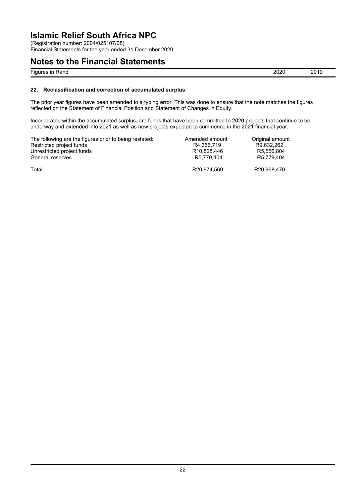(Registration number: 2004/025107/08)

Financial Statements for the year ended 31 December 2020

### **Notes to the Financial Statements**

Figures in Rand 2019

### **22. Reclassification and correction of accumulated surplus**

The prior year figures have been amended to a typing error. This was done to ensure that the note matches the figures reflected on the Statement of Financial Position and Statement of Changes in Equity.

Incorporated within the accumulated surplus, are funds that have been committed to 2020 projects that continue to be underway and extended into 2021 as well as new projects expected to commence in the 2021 financial year.

| The following are the figures prior to being restated: | Amended amount           | Original amount |
|--------------------------------------------------------|--------------------------|-----------------|
| Restricted project funds                               | R4.366.719               | R9.632.262      |
| Unrestricted project funds                             | R <sub>10.828</sub> .446 | R5.556.804      |
| General reserves                                       | R5.779.404               | R5.779.404      |
| Total                                                  | R20.974.569              | R20.968.470     |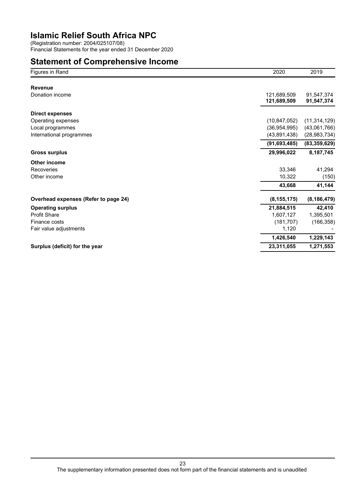(Registration number: 2004/025107/08) Financial Statements for the year ended 31 December 2020

### **Statement of Comprehensive Income**

| Figures in Rand                      | 2020           | 2019           |
|--------------------------------------|----------------|----------------|
|                                      |                |                |
| <b>Revenue</b>                       |                |                |
| Donation income                      | 121,689,509    | 91,547,374     |
|                                      | 121,689,509    | 91,547,374     |
| <b>Direct expenses</b>               |                |                |
| Operating expenses                   | (10, 847, 052) | (11, 314, 129) |
| Local programmes                     | (36,954,995)   | (43,061,766)   |
| International programmes             | (43,891,438)   | (28, 983, 734) |
|                                      | (91, 693, 485) | (83, 359, 629) |
| <b>Gross surplus</b>                 | 29,996,022     | 8,187,745      |
| Other income                         |                |                |
| Recoveries                           | 33,346         | 41,294         |
| Other income                         | 10,322         | (150)          |
|                                      | 43,668         | 41,144         |
| Overhead expenses (Refer to page 24) | (8, 155, 175)  | (8, 186, 479)  |
| <b>Operating surplus</b>             | 21,884,515     | 42,410         |
| <b>Profit Share</b>                  | 1,607,127      | 1,395,501      |
| Finance costs                        | (181, 707)     | (166, 358)     |
| Fair value adjustments               | 1,120          |                |
|                                      | 1,426,540      | 1,229,143      |
| Surplus (deficit) for the year       | 23,311,055     | 1,271,553      |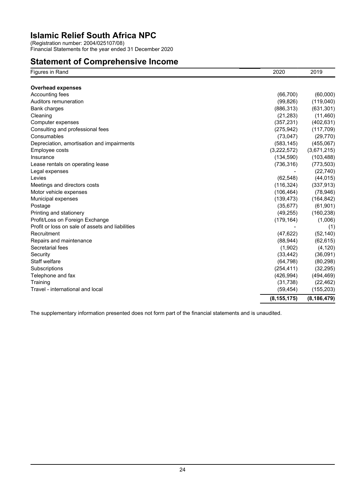(Registration number: 2004/025107/08) Financial Statements for the year ended 31 December 2020

### **Statement of Comprehensive Income**

| Figures in Rand                                  | 2020          | 2019                    |
|--------------------------------------------------|---------------|-------------------------|
|                                                  |               |                         |
| <b>Overhead expenses</b><br>Accounting fees      | (66, 700)     | (60,000)                |
| Auditors remuneration                            | (99, 826)     | (119,040)               |
| <b>Bank charges</b>                              | (886, 313)    |                         |
| Cleaning                                         | (21, 283)     | (631, 301)<br>(11, 460) |
| Computer expenses                                | (357, 231)    | (402, 631)              |
| Consulting and professional fees                 | (275, 942)    | (117, 709)              |
| Consumables                                      | (73, 047)     | (29, 770)               |
| Depreciation, amortisation and impairments       | (583, 145)    | (455,067)               |
| Employee costs                                   | (3,222,572)   | (3,671,215)             |
| Insurance                                        | (134, 590)    | (103, 488)              |
| Lease rentals on operating lease                 | (736, 316)    | (773, 503)              |
| Legal expenses                                   |               | (22, 740)               |
| Levies                                           | (62, 548)     | (44, 015)               |
| Meetings and directors costs                     | (116, 324)    | (337, 913)              |
| Motor vehicle expenses                           | (106, 464)    | (78, 946)               |
| Municipal expenses                               | (139, 473)    | (164, 842)              |
| Postage                                          | (35, 677)     | (61, 901)               |
| Printing and stationery                          | (49, 255)     | (160, 238)              |
| Profit/Loss on Foreign Exchange                  | (179, 164)    | (1,006)                 |
| Profit or loss on sale of assets and liabilities |               | (1)                     |
| Recruitment                                      | (47, 622)     | (52, 140)               |
| Repairs and maintenance                          | (88, 944)     | (62, 615)               |
| Secretarial fees                                 | (1,902)       | (4, 120)                |
| Security                                         | (33, 442)     | (36,091)                |
| Staff welfare                                    | (64, 798)     | (80, 298)               |
| Subscriptions                                    | (254, 411)    | (32, 295)               |
| Telephone and fax                                | (426, 994)    | (494, 469)              |
| Training                                         | (31, 738)     | (22, 462)               |
| Travel - international and local                 | (59, 454)     | (155, 203)              |
|                                                  | (8, 155, 175) | (8, 186, 479)           |

The supplementary information presented does not form part of the financial statements and is unaudited.